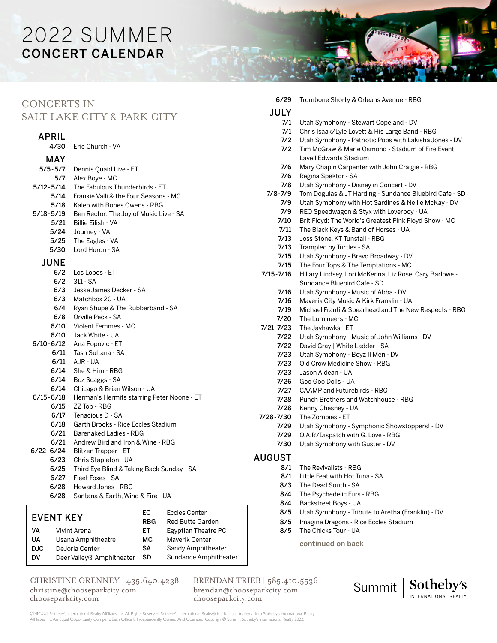# 2022 SUMMER CONCERT CALENDAR

## CONCERTS IN

## SALT LAKE CITY & PARK CITY

### APRIL

|               | 4/30 Eric Church - VA                                                  |
|---------------|------------------------------------------------------------------------|
| MAY.          |                                                                        |
| $5/5 - 5/7$   | Dennis Quaid Live - ET                                                 |
|               | 5/7 Alex Boye - MC                                                     |
| 5/12-5/14     | The Fabulous Thunderbirds - ET                                         |
|               | 5/14 Frankie Valli & the Four Seasons - MC                             |
| 5/18          | Kaleo with Bones Owens - RBG                                           |
| 5/18-5/19     | Ben Rector: The Joy of Music Live - SA                                 |
| 5/21          | Billie Eilish - VA                                                     |
| 5/24          | Journey - VA                                                           |
| 5/25          | The Eagles - VA                                                        |
|               | 5/30 Lord Huron - SA                                                   |
| <b>JUNE</b>   |                                                                        |
|               | 6/2 Los Lobos - ET                                                     |
| 6/2           | $311 - SA$                                                             |
| 6/3           | Jesse James Decker - SA                                                |
|               | 6/3 Matchbox 20 - UA                                                   |
|               | 6/4 Ryan Shupe & The Rubberband - SA                                   |
|               | 6/8 Orville Peck - SA                                                  |
|               | 6/10 Violent Femmes - MC                                               |
|               | 6/10 Jack White - UA                                                   |
|               | 6/10-6/12 Ana Popovic - ET                                             |
|               | 6/11 Tash Sultana - SA                                                 |
|               | 6/11 AJR-UA                                                            |
| 6/14          | She & Him - RBG                                                        |
| 6/14          | Boz Scaggs - SA                                                        |
| 6/14          | Chicago & Brian Wilson - UA                                            |
| $6/15 - 6/18$ | Herman's Hermits starring Peter Noone - ET                             |
| 6/15          | ZZ Top - RBG<br>6/17 Tenacious D - SA                                  |
|               | 6/18 Garth Brooks - Rice Eccles Stadium                                |
|               |                                                                        |
| 6/21          | 6/21 Barenaked Ladies - RBG<br>Andrew Bird and Iron & Wine - RBG       |
|               | 6/22-6/24 Blitzen Trapper - ET                                         |
|               |                                                                        |
| 6/25          | 6/23 Chris Stapleton - UA<br>Third Eye Blind & Taking Back Sunday - SA |
|               | 6/27 Fleet Foxes - SA                                                  |
| 6/28          | Howard Jones - RBG                                                     |
|               |                                                                        |

6/28 Santana & Earth, Wind & Fire - UA

#### EVENT KEY VA Vivint Arena UA Usana Amphitheatre DJC DeJoria Center DV Deer Valley® Amphitheater EC Eccles Center RBG Red Butte Garden ET Egyptian Theatre PC MC Maverik Center SA Sandy Amphitheater SD Sundance Amphitheater

### CHRISTINE GRENNEY | 435.640.4238 christine@chooseparkcity.com

chooseparkcity.com

BRENDAN TRIEB | 585.410.5536 brendan@chooseparkcity.com chooseparkcity.com

7/2 Utah Symphony - Patriotic Pops with Lakisha Jones - DV 7/2 Tim McGraw & Marie Osmond - Stadium of Fire Event, Lavell Edwards Stadium 7/6 Mary Chapin Carpenter with John Craigie - RBG 7/6 Regina Spektor - SA 7/8 Utah Symphony - Disney in Concert - DV 7/8-7/9 Tom Dogulas & JT Harding - Sundance Bluebird Cafe - SD 7/9 Utah Symphony with Hot Sardines & Nellie McKay - DV 7/9 REO Speedwagon & Styx with Loverboy - UA 7/10 Brit Floyd: The World's Greatest Pink Floyd Show - MC 7/11 The Black Keys & Band of Horses - UA 7/13 Joss Stone, KT Tunstall - RBG 7/13 Trampled by Turtles - SA 7/15 Utah Symphony - Bravo Broadway - DV 7/15 The Four Tops & The Temptations - MC 7/15-7/16 Hillary Lindsey, Lori McKenna, Liz Rose, Cary Barlowe - Sundance Bluebird Cafe - SD 7/16 Utah Symphony - Music of Abba - DV 7/16 Maverik City Music & Kirk Franklin - UA 7/19 Michael Franti & Spearhead and The New Respects - RBG 7/20 The Lumineers - MC 7/21-7/23 The Jayhawks - ET 7/22 Utah Symphony - Music of John Williams - DV 7/22 David Gray | White Ladder - SA 7/23 Utah Symphony - Boyz II Men - DV 7/23 Old Crow Medicine Show - RBG 7/23 Jason Aldean - UA 7/26 Goo Goo Dolls - UA 7/27 CAAMP and Futurebirds - RBG 7/28 Punch Brothers and Watchhouse - RBG 7/28 Kenny Chesney - UA 7/28-7/30 The Zombies - ET 7/29 Utah Symphony - Symphonic Showstoppers! - DV 7/29 O.A.R/Dispatch with G. Love - RBG 7/30 Utah Symphony with Guster - DV AUGUST 8/1 The Revivalists - RBG 8/1 Little Feat with Hot Tuna - SA 8/3 The Dead South - SA 8/4 The Psychedelic Furs - RBG

6/29 Trombone Shorty & Orleans Avenue - RBG

7/1 Utah Symphony - Stewart Copeland - DV 7/1 Chris Isaak/Lyle Lovett & His Large Band - RBG

JULY

- 8/4 Backstreet Boys UA
- 8/5 Utah Symphony Tribute to Aretha (Franklin) DV
- 8/5 Imagine Dragons Rice Eccles Stadium
- 8/5 The Chicks Tour UA

continued on back



©MMXXII Sotheby's International Realty Affiliates, Inc. All Rights Reserved. Sotheby's International Realty® is a licensed trademark to Sotheby's International Realty Affiliates, Inc. An Equal Opportunity Company. Each Office Is Independently Owned And Operated. Copyright© Summit Sotheby's International Realty 2022.